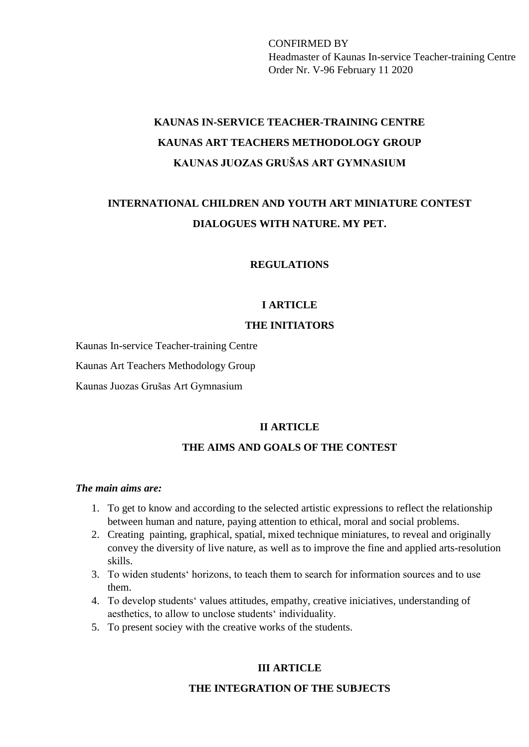CONFIRMED BY Headmaster of Kaunas In-service Teacher-training Centre Order Nr. V-96 February 11 2020

# **KAUNAS IN-SERVICE TEACHER-TRAINING CENTRE KAUNAS ART TEACHERS METHODOLOGY GROUP KAUNAS JUOZAS GRUŠAS ART GYMNASIUM**

# **INTERNATIONAL CHILDREN AND YOUTH ART MINIATURE CONTEST DIALOGUES WITH NATURE. MY PET.**

**REGULATIONS**

#### **I ARTICLE**

### **THE INITIATORS**

Kaunas In-service Teacher-training Centre

Kaunas Art Teachers Methodology Group

Kaunas Juozas Grušas Art Gymnasium

#### **II ARTICLE**

#### **THE AIMS AND GOALS OF THE CONTEST**

#### *The main aims are:*

- 1. To get to know and according to the selected artistic expressions to reflect the relationship between human and nature, paying attention to ethical, moral and social problems.
- 2. Creating painting, graphical, spatial, mixed technique miniatures, to reveal and originally convey the diversity of live nature, as well as to improve the fine and applied arts-resolution skills.
- 3. To widen students' horizons, to teach them to search for information sources and to use them.
- 4. To develop students' values attitudes, empathy, creative iniciatives, understanding of aesthetics, to allow to unclose students' individuality.
- 5. To present sociey with the creative works of the students.

## **III ARTICLE**

#### **THE INTEGRATION OF THE SUBJECTS**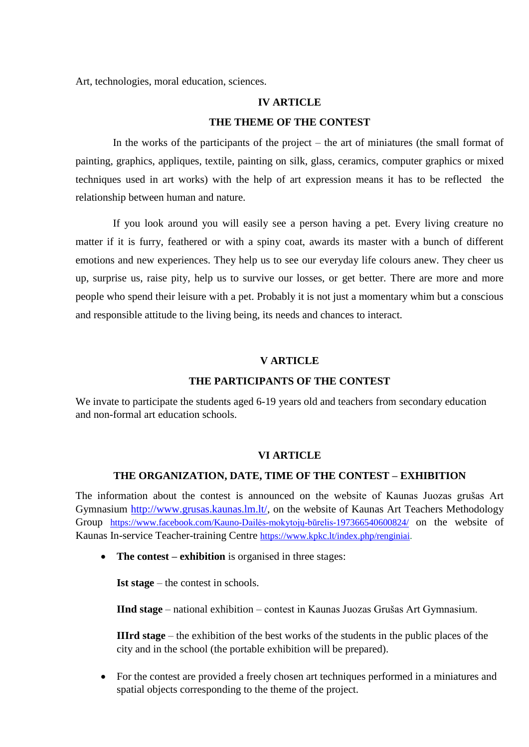Art, technologies, moral education, sciences.

#### **IV ARTICLE**

#### **THE THEME OF THE CONTEST**

 In the works of the participants of the project – the art of miniatures (the small format of painting, graphics, appliques, textile, painting on silk, glass, ceramics, computer graphics or mixed techniques used in art works) with the help of art expression means it has to be reflected the relationship between human and nature.

 If you look around you will easily see a person having a pet. Every living creature no matter if it is furry, feathered or with a spiny coat, awards its master with a bunch of different emotions and new experiences. They help us to see our everyday life colours anew. They cheer us up, surprise us, raise pity, help us to survive our losses, or get better. There are more and more people who spend their leisure with a pet. Probably it is not just a momentary whim but a conscious and responsible attitude to the living being, its needs and chances to interact.

#### **V ARTICLE**

#### **THE PARTICIPANTS OF THE CONTEST**

We invate to participate the students aged 6-19 years old and teachers from secondary education and non-formal art education schools.

#### **VI ARTICLE**

#### **THE ORGANIZATION, DATE, TIME OF THE CONTEST – EXHIBITION**

The information about the contest is announced on the website of Kaunas Juozas grušas Art Gymnasium [http://www.grusas.kaunas.lm.lt/,](http://www.grusas.kaunas.lm.lt/) on the website of Kaunas Art Teachers Methodology Group <https://www.facebook.com/Kauno-Dailės-mokytojų-būrelis-197366540600824/> on the website of Kaunas In-service Teacher-training Centre [https://www.kpkc.lt/index.php/renginiai.](https://www.kpkc.lt/index.php/renginiai)

• **The contest – exhibition** is organised in three stages:

**Ist stage** – the contest in schools.

**IInd stage** – national exhibition – contest in Kaunas Juozas Grušas Art Gymnasium.

**IIIrd stage** – the exhibition of the best works of the students in the public places of the city and in the school (the portable exhibition will be prepared).

 For the contest are provided a freely chosen art techniques performed in a miniatures and spatial objects corresponding to the theme of the project.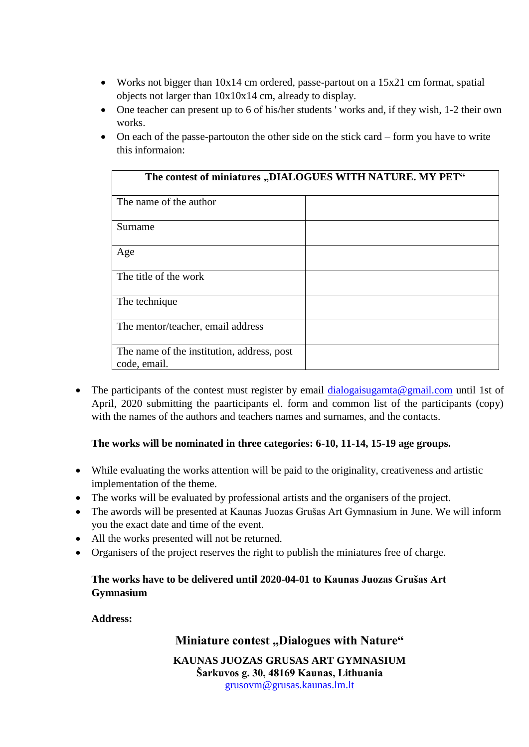- Works not bigger than 10x14 cm ordered, passe-partout on a 15x21 cm format, spatial objects not larger than 10x10x14 cm, already to display.
- One teacher can present up to 6 of his/her students ' works and, if they wish, 1-2 their own works.
- On each of the passe-partouton the other side on the stick card form you have to write this informaion:

| The contest of miniatures "DIALOGUES WITH NATURE. MY PET"  |  |
|------------------------------------------------------------|--|
| The name of the author                                     |  |
| Surname                                                    |  |
| Age                                                        |  |
| The title of the work                                      |  |
| The technique                                              |  |
| The mentor/teacher, email address                          |  |
| The name of the institution, address, post<br>code, email. |  |

• The participants of the contest must register by email [dialogaisugamta@gmail.com](mailto:dialogaisugamta@gmail.com) until 1st of April, 2020 submitting the paarticipants el. form and common list of the participants (copy) with the names of the authors and teachers names and surnames, and the contacts.

# **The works will be nominated in three categories: 6-10, 11-14, 15-19 age groups.**

- While evaluating the works attention will be paid to the originality, creativeness and artistic implementation of the theme.
- The works will be evaluated by professional artists and the organisers of the project.
- The awords will be presented at Kaunas Juozas Grušas Art Gymnasium in June. We will inform you the exact date and time of the event.
- All the works presented will not be returned.
- Organisers of the project reserves the right to publish the miniatures free of charge.

## **The works have to be delivered until 2020-04-01 to Kaunas Juozas Grušas Art Gymnasium**

## **Address:**

# **Miniature contest ,Dialogues with Nature"**

**KAUNAS JUOZAS GRUSAS ART GYMNASIUM Šarkuvos g. 30, 48169 Kaunas, Lithuania** [grusovm@grusas.kaunas.lm.lt](mailto:grusovm@grusas.kaunas.lm.lt)